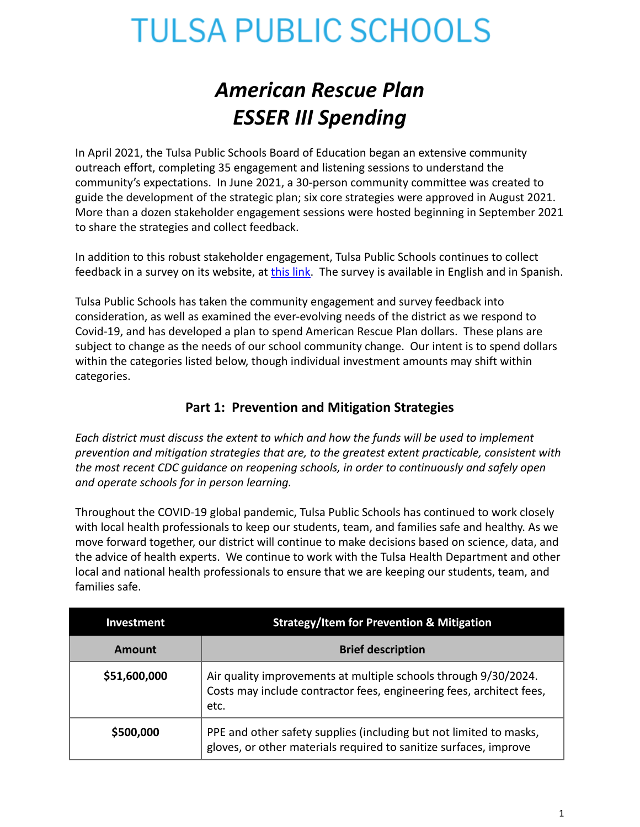### *American Rescue Plan ESSER III Spending*

In April 2021, the Tulsa Public Schools Board of Education began an extensive community outreach effort, completing 35 engagement and listening sessions to understand the community's expectations. In June 2021, a 30-person community committee was created to guide the development of the strategic plan; six core strategies were approved in August 2021. More than a dozen stakeholder engagement sessions were hosted beginning in September 2021 to share the strategies and collect feedback.

In addition to this robust stakeholder engagement, Tulsa Public Schools continues to collect feedback in a survey on its website, at [this link](https://tulsaschools.sjc1.qualtrics.com/jfe/form/SV_9HWOpWQ1BoFDhEa). The survey is available in English and in Spanish.

Tulsa Public Schools has taken the community engagement and survey feedback into consideration, as well as examined the ever-evolving needs of the district as we respond to Covid-19, and has developed a plan to spend American Rescue Plan dollars. These plans are subject to change as the needs of our school community change. Our intent is to spend dollars within the categories listed below, though individual investment amounts may shift within categories.

### **Part 1: Prevention and Mitigation Strategies**

*Each district must discuss the extent to which and how the funds will be used to implement prevention and mitigation strategies that are, to the greatest extent practicable, consistent with the most recent CDC guidance on reopening schools, in order to continuously and safely open and operate schools for in person learning.*

Throughout the COVID-19 global pandemic, Tulsa Public Schools has continued to work closely with local health professionals to keep our students, team, and families safe and healthy. As we move forward together, our district will continue to make decisions based on science, data, and the advice of health experts. We continue to work with the Tulsa Health Department and other local and national health professionals to ensure that we are keeping our students, team, and families safe.

| Investment   | <b>Strategy/Item for Prevention &amp; Mitigation</b>                                                                                            |
|--------------|-------------------------------------------------------------------------------------------------------------------------------------------------|
| Amount       | <b>Brief description</b>                                                                                                                        |
| \$51,600,000 | Air quality improvements at multiple schools through 9/30/2024.<br>Costs may include contractor fees, engineering fees, architect fees,<br>etc. |
| \$500,000    | PPE and other safety supplies (including but not limited to masks,<br>gloves, or other materials required to sanitize surfaces, improve         |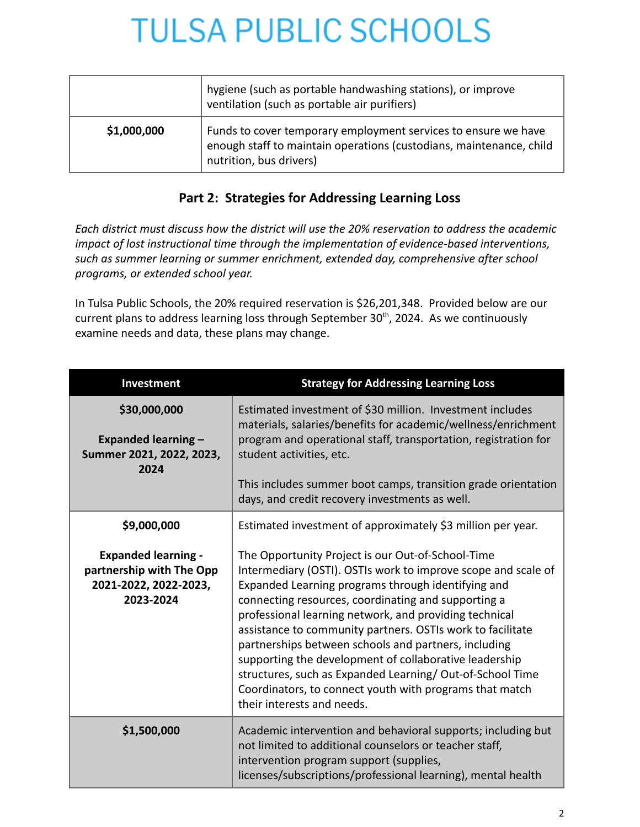|             | hygiene (such as portable handwashing stations), or improve<br>ventilation (such as portable air purifiers)                                                      |
|-------------|------------------------------------------------------------------------------------------------------------------------------------------------------------------|
| \$1,000,000 | Funds to cover temporary employment services to ensure we have<br>enough staff to maintain operations (custodians, maintenance, child<br>nutrition, bus drivers) |

### **Part 2: Strategies for Addressing Learning Loss**

*Each district must discuss how the district will use the 20% reservation to address the academic impact of lost instructional time through the implementation of evidence-based interventions, such as summer learning or summer enrichment, extended day, comprehensive after school programs, or extended school year.*

In Tulsa Public Schools, the 20% required reservation is \$26,201,348. Provided below are our current plans to address learning loss through September 30<sup>th</sup>, 2024. As we continuously examine needs and data, these plans may change.

| <b>Investment</b>                                                                                           | <b>Strategy for Addressing Learning Loss</b>                                                                                                                                                                                                                                                                                                                                                                                                                                                                                                                                                                                                                                                  |
|-------------------------------------------------------------------------------------------------------------|-----------------------------------------------------------------------------------------------------------------------------------------------------------------------------------------------------------------------------------------------------------------------------------------------------------------------------------------------------------------------------------------------------------------------------------------------------------------------------------------------------------------------------------------------------------------------------------------------------------------------------------------------------------------------------------------------|
| \$30,000,000<br><b>Expanded learning -</b><br>Summer 2021, 2022, 2023,<br>2024                              | Estimated investment of \$30 million. Investment includes<br>materials, salaries/benefits for academic/wellness/enrichment<br>program and operational staff, transportation, registration for<br>student activities, etc.<br>This includes summer boot camps, transition grade orientation<br>days, and credit recovery investments as well.                                                                                                                                                                                                                                                                                                                                                  |
| \$9,000,000<br><b>Expanded learning -</b><br>partnership with The Opp<br>2021-2022, 2022-2023,<br>2023-2024 | Estimated investment of approximately \$3 million per year.<br>The Opportunity Project is our Out-of-School-Time<br>Intermediary (OSTI). OSTIs work to improve scope and scale of<br>Expanded Learning programs through identifying and<br>connecting resources, coordinating and supporting a<br>professional learning network, and providing technical<br>assistance to community partners. OSTIs work to facilitate<br>partnerships between schools and partners, including<br>supporting the development of collaborative leadership<br>structures, such as Expanded Learning/Out-of-School Time<br>Coordinators, to connect youth with programs that match<br>their interests and needs. |
| \$1,500,000                                                                                                 | Academic intervention and behavioral supports; including but<br>not limited to additional counselors or teacher staff,<br>intervention program support (supplies,<br>licenses/subscriptions/professional learning), mental health                                                                                                                                                                                                                                                                                                                                                                                                                                                             |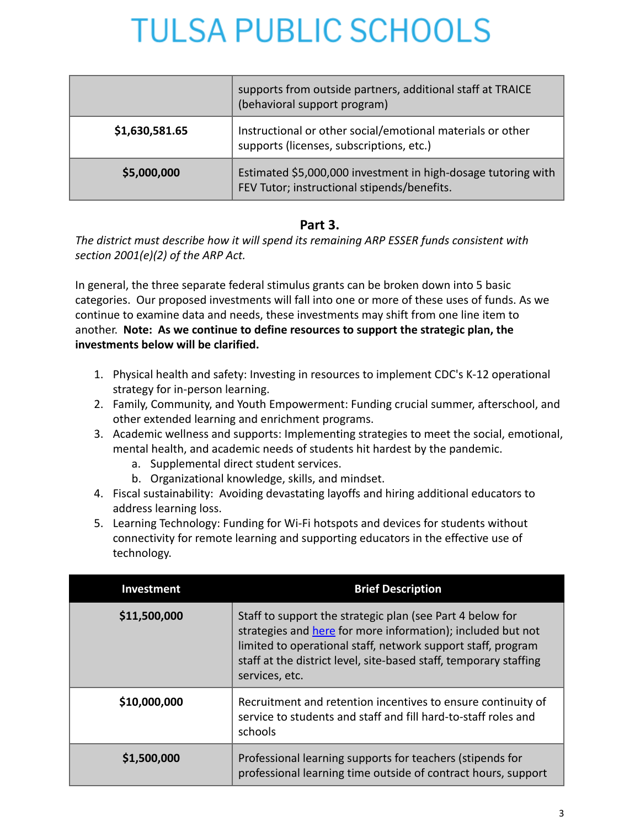|                | supports from outside partners, additional staff at TRAICE<br>(behavioral support program)                   |
|----------------|--------------------------------------------------------------------------------------------------------------|
| \$1,630,581.65 | Instructional or other social/emotional materials or other<br>supports (licenses, subscriptions, etc.)       |
| \$5,000,000    | Estimated \$5,000,000 investment in high-dosage tutoring with<br>FEV Tutor; instructional stipends/benefits. |

### **Part 3.**

*The district must describe how it will spend its remaining ARP ESSER funds consistent with section 2001(e)(2) of the ARP Act.*

In general, the three separate federal stimulus grants can be broken down into 5 basic categories. Our proposed investments will fall into one or more of these uses of funds. As we continue to examine data and needs, these investments may shift from one line item to another. **Note: As we continue to define resources to support the strategic plan, the investments below will be clarified.**

- 1. Physical health and safety: Investing in resources to implement CDC's K-12 operational strategy for in-person learning.
- 2. Family, Community, and Youth Empowerment: Funding crucial summer, afterschool, and other extended learning and enrichment programs.
- 3. Academic wellness and supports: Implementing strategies to meet the social, emotional, mental health, and academic needs of students hit hardest by the pandemic.
	- a. Supplemental direct student services.
	- b. Organizational knowledge, skills, and mindset.
- 4. Fiscal sustainability: Avoiding devastating layoffs and hiring additional educators to address learning loss.
- 5. Learning Technology: Funding for Wi-Fi hotspots and devices for students without connectivity for remote learning and supporting educators in the effective use of technology.

| <b>Investment</b> | <b>Brief Description</b>                                                                                                                                                                                                                                                        |
|-------------------|---------------------------------------------------------------------------------------------------------------------------------------------------------------------------------------------------------------------------------------------------------------------------------|
| \$11,500,000      | Staff to support the strategic plan (see Part 4 below for<br>strategies and here for more information); included but not<br>limited to operational staff, network support staff, program<br>staff at the district level, site-based staff, temporary staffing<br>services, etc. |
| \$10,000,000      | Recruitment and retention incentives to ensure continuity of<br>service to students and staff and fill hard-to-staff roles and<br>schools                                                                                                                                       |
| \$1,500,000       | Professional learning supports for teachers (stipends for<br>professional learning time outside of contract hours, support                                                                                                                                                      |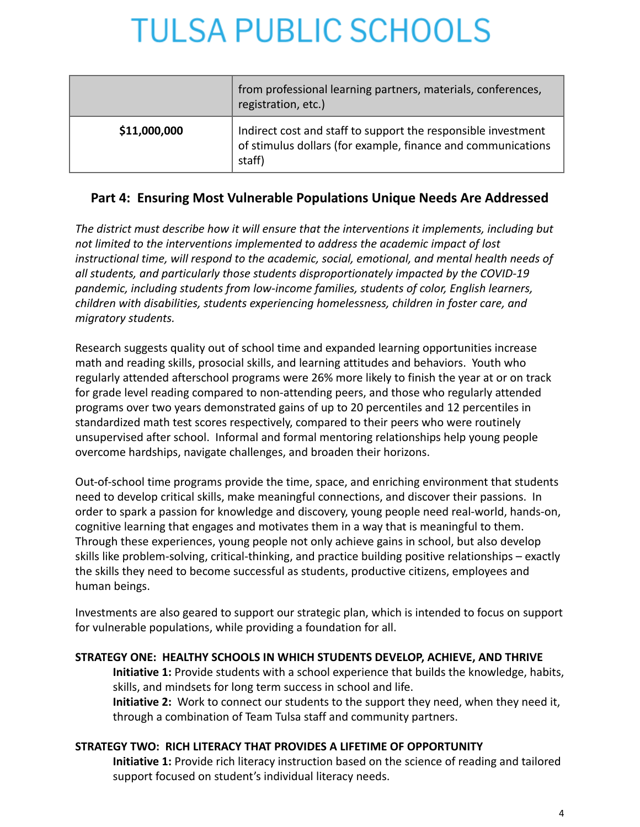|              | from professional learning partners, materials, conferences,<br>registration, etc.)                                                     |
|--------------|-----------------------------------------------------------------------------------------------------------------------------------------|
| \$11,000,000 | Indirect cost and staff to support the responsible investment<br>of stimulus dollars (for example, finance and communications<br>staff) |

### **Part 4: Ensuring Most Vulnerable Populations Unique Needs Are Addressed**

*The district must describe how it will ensure that the interventions it implements, including but not limited to the interventions implemented to address the academic impact of lost instructional time, will respond to the academic, social, emotional, and mental health needs of all students, and particularly those students disproportionately impacted by the COVID-19 pandemic, including students from low-income families, students of color, English learners, children with disabilities, students experiencing homelessness, children in foster care, and migratory students.*

Research suggests quality out of school time and expanded learning opportunities increase math and reading skills, prosocial skills, and learning attitudes and behaviors. Youth who regularly attended afterschool programs were 26% more likely to finish the year at or on track for grade level reading compared to non-attending peers, and those who regularly attended programs over two years demonstrated gains of up to 20 percentiles and 12 percentiles in standardized math test scores respectively, compared to their peers who were routinely unsupervised after school. Informal and formal mentoring relationships help young people overcome hardships, navigate challenges, and broaden their horizons.

Out-of-school time programs provide the time, space, and enriching environment that students need to develop critical skills, make meaningful connections, and discover their passions. In order to spark a passion for knowledge and discovery, young people need real-world, hands-on, cognitive learning that engages and motivates them in a way that is meaningful to them. Through these experiences, young people not only achieve gains in school, but also develop skills like problem-solving, critical-thinking, and practice building positive relationships – exactly the skills they need to become successful as students, productive citizens, employees and human beings.

Investments are also geared to support our strategic plan, which is intended to focus on support for vulnerable populations, while providing a foundation for all.

#### **STRATEGY ONE: HEALTHY SCHOOLS IN WHICH STUDENTS DEVELOP, ACHIEVE, AND THRIVE**

**Initiative 1:** Provide students with a school experience that builds the knowledge, habits, skills, and mindsets for long term success in school and life. **Initiative 2:** Work to connect our students to the support they need, when they need it, through a combination of Team Tulsa staff and community partners.

#### **STRATEGY TWO: RICH LITERACY THAT PROVIDES A LIFETIME OF OPPORTUNITY**

**Initiative 1:** Provide rich literacy instruction based on the science of reading and tailored support focused on student's individual literacy needs.